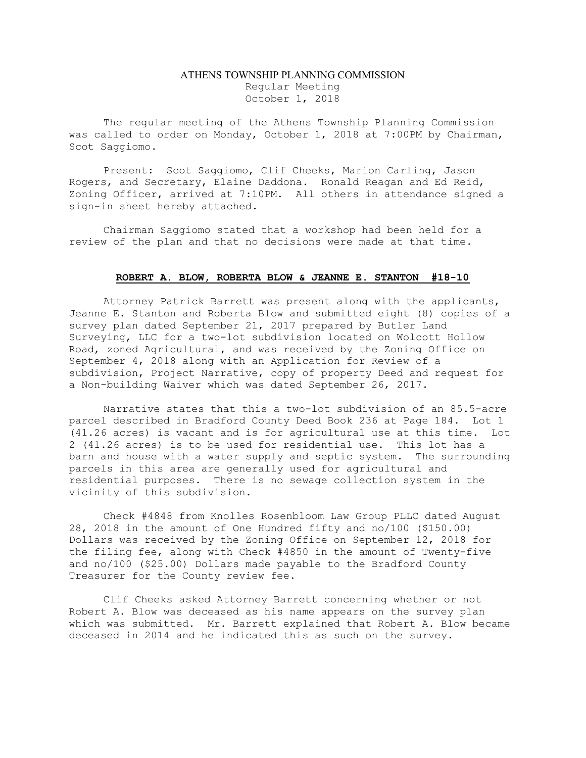## ATHENS TOWNSHIP PLANNING COMMISSION Regular Meeting October 1, 2018

The regular meeting of the Athens Township Planning Commission was called to order on Monday, October 1, 2018 at 7:00PM by Chairman, Scot Saggiomo.

Present: Scot Saggiomo, Clif Cheeks, Marion Carling, Jason Rogers, and Secretary, Elaine Daddona. Ronald Reagan and Ed Reid, Zoning Officer, arrived at 7:10PM. All others in attendance signed a sign-in sheet hereby attached.

Chairman Saggiomo stated that a workshop had been held for a review of the plan and that no decisions were made at that time.

## ROBERT A. BLOW, ROBERTA BLOW & JEANNE E. STANTON #18-10

 Attorney Patrick Barrett was present along with the applicants, Jeanne E. Stanton and Roberta Blow and submitted eight (8) copies of a survey plan dated September 21, 2017 prepared by Butler Land Surveying, LLC for a two-lot subdivision located on Wolcott Hollow Road, zoned Agricultural, and was received by the Zoning Office on September 4, 2018 along with an Application for Review of a subdivision, Project Narrative, copy of property Deed and request for a Non-building Waiver which was dated September 26, 2017.

Narrative states that this a two-lot subdivision of an 85.5-acre parcel described in Bradford County Deed Book 236 at Page 184. Lot 1 (41.26 acres) is vacant and is for agricultural use at this time. Lot 2 (41.26 acres) is to be used for residential use. This lot has a barn and house with a water supply and septic system. The surrounding parcels in this area are generally used for agricultural and residential purposes. There is no sewage collection system in the vicinity of this subdivision.

 Check #4848 from Knolles Rosenbloom Law Group PLLC dated August 28, 2018 in the amount of One Hundred fifty and no/100 (\$150.00) Dollars was received by the Zoning Office on September 12, 2018 for the filing fee, along with Check #4850 in the amount of Twenty-five and no/100 (\$25.00) Dollars made payable to the Bradford County Treasurer for the County review fee.

 Clif Cheeks asked Attorney Barrett concerning whether or not Robert A. Blow was deceased as his name appears on the survey plan which was submitted. Mr. Barrett explained that Robert A. Blow became deceased in 2014 and he indicated this as such on the survey.